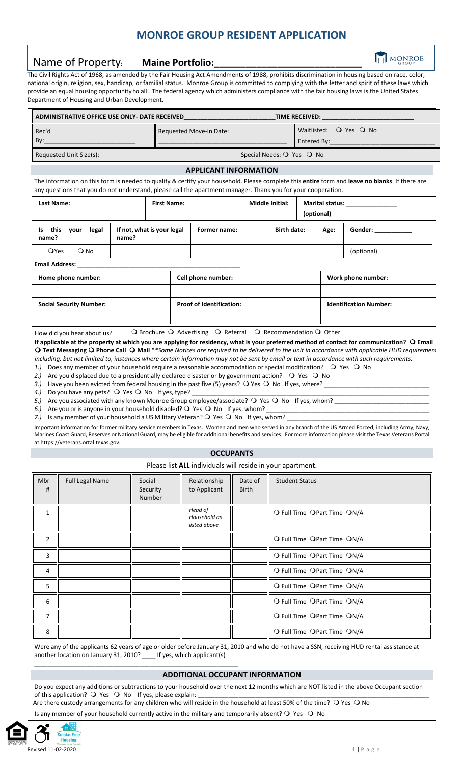# **MONROE GROUP RESIDENT APPLICATION**

# Name of Property: **Maine Portfolio:**

**TH** MONROE

Land Civil Rights Act of 1968, as amended by the Fair Housing Act Amendments of 1988, prohibits discrimination in housing based on race, color, national origin, religion, sex, handicap, or familial status. Monroe Group is committed to complying with the letter and spirit of these laws which provide an equal housing opportunity to all. The federal agency which administers compliance with the fair housing laws is the United States Department of Housing and Urban Development.

| ADMINISTRATIVE OFFICE USE ONLY- DATE RECEIVED                                                                                                                                                                                                                                                                                                                                                                                                                                                                                                                                                                                                                                                                                                                                                                                                                                                                                                                                                                                                                                                                                                                                                                                                                                                                                                                                                                                                    |                                     |                    |                                         |                           |                                                                                     |  |                             |                                  |  |
|--------------------------------------------------------------------------------------------------------------------------------------------------------------------------------------------------------------------------------------------------------------------------------------------------------------------------------------------------------------------------------------------------------------------------------------------------------------------------------------------------------------------------------------------------------------------------------------------------------------------------------------------------------------------------------------------------------------------------------------------------------------------------------------------------------------------------------------------------------------------------------------------------------------------------------------------------------------------------------------------------------------------------------------------------------------------------------------------------------------------------------------------------------------------------------------------------------------------------------------------------------------------------------------------------------------------------------------------------------------------------------------------------------------------------------------------------|-------------------------------------|--------------------|-----------------------------------------|---------------------------|-------------------------------------------------------------------------------------|--|-----------------------------|----------------------------------|--|
| Rec'd<br>By:                                                                                                                                                                                                                                                                                                                                                                                                                                                                                                                                                                                                                                                                                                                                                                                                                                                                                                                                                                                                                                                                                                                                                                                                                                                                                                                                                                                                                                     |                                     |                    | Requested Move-in Date:                 |                           | Waitlisted: $Q$ Yes $Q$ No                                                          |  |                             |                                  |  |
| Requested Unit Size(s):                                                                                                                                                                                                                                                                                                                                                                                                                                                                                                                                                                                                                                                                                                                                                                                                                                                                                                                                                                                                                                                                                                                                                                                                                                                                                                                                                                                                                          |                                     |                    |                                         | Special Needs: O Yes O No |                                                                                     |  |                             |                                  |  |
| <b>APPLICANT INFORMATION</b><br>The information on this form is needed to qualify & certify your household. Please complete this entire form and leave no blanks. If there are<br>any questions that you do not understand, please call the apartment manager. Thank you for your cooperation.                                                                                                                                                                                                                                                                                                                                                                                                                                                                                                                                                                                                                                                                                                                                                                                                                                                                                                                                                                                                                                                                                                                                                   |                                     |                    |                                         |                           |                                                                                     |  |                             |                                  |  |
| <b>Last Name:</b>                                                                                                                                                                                                                                                                                                                                                                                                                                                                                                                                                                                                                                                                                                                                                                                                                                                                                                                                                                                                                                                                                                                                                                                                                                                                                                                                                                                                                                |                                     | <b>First Name:</b> |                                         |                           | Middle Initial:                                                                     |  | (optional)                  | Marital status: ________________ |  |
| Is this your legal<br>name?                                                                                                                                                                                                                                                                                                                                                                                                                                                                                                                                                                                                                                                                                                                                                                                                                                                                                                                                                                                                                                                                                                                                                                                                                                                                                                                                                                                                                      | If not, what is your legal<br>name? |                    | Former name:                            |                           | <b>Birth date:</b>                                                                  |  | Age:                        |                                  |  |
| <b>O</b> Yes<br>$\bigcirc$ No                                                                                                                                                                                                                                                                                                                                                                                                                                                                                                                                                                                                                                                                                                                                                                                                                                                                                                                                                                                                                                                                                                                                                                                                                                                                                                                                                                                                                    |                                     |                    |                                         |                           |                                                                                     |  |                             | (optional)                       |  |
| Email Address: _                                                                                                                                                                                                                                                                                                                                                                                                                                                                                                                                                                                                                                                                                                                                                                                                                                                                                                                                                                                                                                                                                                                                                                                                                                                                                                                                                                                                                                 |                                     |                    |                                         |                           |                                                                                     |  |                             |                                  |  |
| Home phone number:                                                                                                                                                                                                                                                                                                                                                                                                                                                                                                                                                                                                                                                                                                                                                                                                                                                                                                                                                                                                                                                                                                                                                                                                                                                                                                                                                                                                                               |                                     |                    | Cell phone number:                      |                           |                                                                                     |  |                             | Work phone number:               |  |
| <b>Social Security Number:</b>                                                                                                                                                                                                                                                                                                                                                                                                                                                                                                                                                                                                                                                                                                                                                                                                                                                                                                                                                                                                                                                                                                                                                                                                                                                                                                                                                                                                                   |                                     |                    | <b>Proof of Identification:</b>         |                           |                                                                                     |  |                             | <b>Identification Number:</b>    |  |
|                                                                                                                                                                                                                                                                                                                                                                                                                                                                                                                                                                                                                                                                                                                                                                                                                                                                                                                                                                                                                                                                                                                                                                                                                                                                                                                                                                                                                                                  |                                     |                    |                                         |                           |                                                                                     |  |                             |                                  |  |
| If applicable at the property at which you are applying for residency, what is your preferred method of contact for communication? O Email<br>O Text Messaging O Phone Call O Mail **Some Notices are required to be delivered to the unit in accordance with applicable HUD requirement<br>including, but not limited to, instances where certain information may not be sent by email or text in accordance with such requirements.<br>Does any member of your household require a reasonable accommodation or special modification? O Yes O No<br>1.)<br>Are you displaced due to a presidentially declared disaster or by government action? $\bigcirc$ Yes $\bigcirc$ No<br>2.)<br>3.)<br>Do you have any pets? $\bigcirc$ Yes $\bigcirc$ No If yes, type?<br>4.)<br>Are you associated with any known Monroe Group employee/associate? O Yes O No If yes, whom?<br>5.)<br>6.) Are you or is anyone in your household disabled? $\bigcirc$ Yes $\bigcirc$ No If yes, whom?<br>7.) Is any member of your household a US Military Veteran? Q Yes Q No If yes, whom?<br>Important information for former military service members in Texas. Women and men who served in any branch of the US Armed Forced, including Army, Navy,<br>Marines Coast Guard, Reserves or National Guard, may be eligible for additional benefits and services. For more information please visit the Texas Veterans Portal<br>at https://veterans.ortal.texas.gov. |                                     |                    |                                         |                           |                                                                                     |  |                             |                                  |  |
|                                                                                                                                                                                                                                                                                                                                                                                                                                                                                                                                                                                                                                                                                                                                                                                                                                                                                                                                                                                                                                                                                                                                                                                                                                                                                                                                                                                                                                                  |                                     |                    | <b>OCCUPANTS</b>                        |                           |                                                                                     |  |                             |                                  |  |
| Mbr<br><b>Full Legal Name</b><br>#                                                                                                                                                                                                                                                                                                                                                                                                                                                                                                                                                                                                                                                                                                                                                                                                                                                                                                                                                                                                                                                                                                                                                                                                                                                                                                                                                                                                               | Social<br>Security<br>Number        |                    | Relationship<br>to Applicant            | Date of<br><b>Birth</b>   | Please list ALL individuals will reside in your apartment.<br><b>Student Status</b> |  |                             |                                  |  |
| 1                                                                                                                                                                                                                                                                                                                                                                                                                                                                                                                                                                                                                                                                                                                                                                                                                                                                                                                                                                                                                                                                                                                                                                                                                                                                                                                                                                                                                                                |                                     |                    | Head of<br>Household as<br>listed above |                           |                                                                                     |  | O Full Time OPart Time ON/A |                                  |  |
| $\overline{2}$                                                                                                                                                                                                                                                                                                                                                                                                                                                                                                                                                                                                                                                                                                                                                                                                                                                                                                                                                                                                                                                                                                                                                                                                                                                                                                                                                                                                                                   |                                     |                    |                                         |                           |                                                                                     |  | O Full Time OPart Time ON/A |                                  |  |
| 3                                                                                                                                                                                                                                                                                                                                                                                                                                                                                                                                                                                                                                                                                                                                                                                                                                                                                                                                                                                                                                                                                                                                                                                                                                                                                                                                                                                                                                                |                                     |                    |                                         |                           |                                                                                     |  | O Full Time OPart Time ON/A |                                  |  |
| 4                                                                                                                                                                                                                                                                                                                                                                                                                                                                                                                                                                                                                                                                                                                                                                                                                                                                                                                                                                                                                                                                                                                                                                                                                                                                                                                                                                                                                                                |                                     |                    |                                         |                           |                                                                                     |  | O Full Time OPart Time ON/A |                                  |  |
| 5                                                                                                                                                                                                                                                                                                                                                                                                                                                                                                                                                                                                                                                                                                                                                                                                                                                                                                                                                                                                                                                                                                                                                                                                                                                                                                                                                                                                                                                |                                     |                    |                                         |                           |                                                                                     |  | O Full Time OPart Time ON/A |                                  |  |
| 6                                                                                                                                                                                                                                                                                                                                                                                                                                                                                                                                                                                                                                                                                                                                                                                                                                                                                                                                                                                                                                                                                                                                                                                                                                                                                                                                                                                                                                                |                                     |                    |                                         |                           | O Full Time OPart Time ON/A                                                         |  |                             |                                  |  |
| 7                                                                                                                                                                                                                                                                                                                                                                                                                                                                                                                                                                                                                                                                                                                                                                                                                                                                                                                                                                                                                                                                                                                                                                                                                                                                                                                                                                                                                                                |                                     |                    |                                         |                           |                                                                                     |  | O Full Time OPart Time ON/A |                                  |  |
| 8                                                                                                                                                                                                                                                                                                                                                                                                                                                                                                                                                                                                                                                                                                                                                                                                                                                                                                                                                                                                                                                                                                                                                                                                                                                                                                                                                                                                                                                |                                     |                    |                                         |                           |                                                                                     |  | O Full Time OPart Time ON/A |                                  |  |

Were any of the applicants 62 years of age or older before January 31, 2010 and who do not have a SSN, receiving HUD rental assistance at another location on January 31, 2010? \_\_\_\_ If yes, which applicant(s)

# **ADDITIONAL OCCUPANT INFORMATION**

Do you expect any additions or subtractions to your household over the next 12 months which are NOT listed in the above Occupant section of this application?  $\bigcirc$  Yes  $\bigcirc$  No If yes, please explain: Are there custody arrangements for any children who will reside in the household at least 50% of the time? O Yes O No

Is any member of your household currently active in the military and temporarily absent?  $\bigcirc$  Yes  $\bigcirc$  No

\_\_\_\_\_\_\_\_\_\_\_\_\_\_\_\_\_\_\_\_\_\_\_\_\_\_\_\_\_\_\_\_\_\_\_\_\_\_\_\_\_\_\_\_\_\_\_\_\_\_\_\_\_\_\_\_\_\_\_\_



loke-Free **Housing**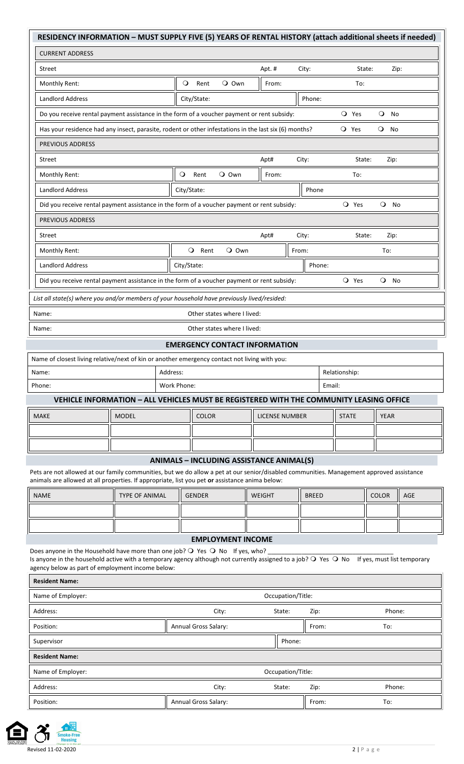| RESIDENCY INFORMATION - MUST SUPPLY FIVE (5) YEARS OF RENTAL HISTORY (attach additional sheets if needed)                                                                                                                                                                                        |                       |             |               |                             |                                                 |              |               |              |                 |     |
|--------------------------------------------------------------------------------------------------------------------------------------------------------------------------------------------------------------------------------------------------------------------------------------------------|-----------------------|-------------|---------------|-----------------------------|-------------------------------------------------|--------------|---------------|--------------|-----------------|-----|
| <b>CURRENT ADDRESS</b>                                                                                                                                                                                                                                                                           |                       |             |               |                             |                                                 |              |               |              |                 |     |
| Street                                                                                                                                                                                                                                                                                           |                       |             |               |                             | Apt.#                                           | City:        |               | State:       | Zip:            |     |
| Monthly Rent:                                                                                                                                                                                                                                                                                    |                       | $\circ$     | Rent          | $Q$ Own                     | From:                                           |              | To:           |              |                 |     |
| <b>Landlord Address</b>                                                                                                                                                                                                                                                                          |                       |             | City/State:   |                             |                                                 | Phone:       |               |              |                 |     |
| Do you receive rental payment assistance in the form of a voucher payment or rent subsidy:                                                                                                                                                                                                       |                       |             |               |                             |                                                 |              | O Yes         |              | $Q$ No          |     |
| Has your residence had any insect, parasite, rodent or other infestations in the last six (6) months?                                                                                                                                                                                            |                       |             |               |                             |                                                 |              | O Yes         |              | $Q$ No          |     |
| PREVIOUS ADDRESS                                                                                                                                                                                                                                                                                 |                       |             |               |                             |                                                 |              |               |              |                 |     |
| Street                                                                                                                                                                                                                                                                                           |                       |             |               |                             | Apt#                                            | City:        |               | State:       | Zip:            |     |
| Monthly Rent:                                                                                                                                                                                                                                                                                    |                       | $\circ$     | Rent          | $Q$ Own                     | From:                                           |              | To:           |              |                 |     |
| <b>Landlord Address</b>                                                                                                                                                                                                                                                                          |                       | City/State: |               |                             |                                                 | Phone        |               |              |                 |     |
| Did you receive rental payment assistance in the form of a voucher payment or rent subsidy:                                                                                                                                                                                                      |                       |             |               |                             |                                                 |              | O Yes         |              | $\bullet$<br>No |     |
| <b>PREVIOUS ADDRESS</b>                                                                                                                                                                                                                                                                          |                       |             |               |                             |                                                 |              |               |              |                 |     |
| Street                                                                                                                                                                                                                                                                                           |                       |             |               |                             | Apt#                                            | City:        |               | State:       | Zip:            |     |
| Monthly Rent:                                                                                                                                                                                                                                                                                    |                       |             | O Rent        | $Q$ Own                     |                                                 | From:        |               |              | To:             |     |
| <b>Landlord Address</b>                                                                                                                                                                                                                                                                          |                       | City/State: |               |                             |                                                 | Phone:       |               |              |                 |     |
| Did you receive rental payment assistance in the form of a voucher payment or rent subsidy:                                                                                                                                                                                                      |                       |             |               |                             |                                                 |              | O Yes         |              | $\circ$<br>No   |     |
| List all state(s) where you and/or members of your household have previously lived/resided:                                                                                                                                                                                                      |                       |             |               |                             |                                                 |              |               |              |                 |     |
| Name:                                                                                                                                                                                                                                                                                            |                       |             |               | Other states where I lived: |                                                 |              |               |              |                 |     |
| Name:                                                                                                                                                                                                                                                                                            |                       |             |               | Other states where I lived: |                                                 |              |               |              |                 |     |
|                                                                                                                                                                                                                                                                                                  |                       |             |               |                             | <b>EMERGENCY CONTACT INFORMATION</b>            |              |               |              |                 |     |
| Name of closest living relative/next of kin or another emergency contact not living with you:                                                                                                                                                                                                    |                       |             |               |                             |                                                 |              |               |              |                 |     |
| Name:                                                                                                                                                                                                                                                                                            |                       | Address:    |               |                             |                                                 |              | Relationship: |              |                 |     |
| Phone:                                                                                                                                                                                                                                                                                           |                       | Work Phone: |               |                             |                                                 |              | Email:        |              |                 |     |
| VEHICLE INFORMATION - ALL VEHICLES MUST BE REGISTERED WITH THE COMMUNITY LEASING OFFICE                                                                                                                                                                                                          |                       |             |               |                             |                                                 |              |               |              |                 |     |
| <b>MAKE</b>                                                                                                                                                                                                                                                                                      | <b>MODEL</b>          |             | <b>COLOR</b>  |                             | <b>LICENSE NUMBER</b>                           |              | <b>STATE</b>  |              | <b>YEAR</b>     |     |
|                                                                                                                                                                                                                                                                                                  |                       |             |               |                             |                                                 |              |               |              |                 |     |
|                                                                                                                                                                                                                                                                                                  |                       |             |               |                             |                                                 |              |               |              |                 |     |
| Pets are not allowed at our family communities, but we do allow a pet at our senior/disabled communities. Management approved assistance<br>animals are allowed at all properties. If appropriate, list you pet or assistance anima below:                                                       |                       |             |               |                             | <b>ANIMALS - INCLUDING ASSISTANCE ANIMAL(S)</b> |              |               |              |                 |     |
| <b>NAME</b>                                                                                                                                                                                                                                                                                      | <b>TYPE OF ANIMAL</b> |             | <b>GENDER</b> |                             | <b>WEIGHT</b>                                   | <b>BREED</b> |               | <b>COLOR</b> |                 | AGE |
|                                                                                                                                                                                                                                                                                                  |                       |             |               |                             |                                                 |              |               |              |                 |     |
|                                                                                                                                                                                                                                                                                                  |                       |             |               |                             |                                                 |              |               |              |                 |     |
|                                                                                                                                                                                                                                                                                                  |                       |             |               | <b>EMPLOYMENT INCOME</b>    |                                                 |              |               |              |                 |     |
| Does anyone in the Household have more than one job? $\bigcirc$ Yes $\bigcirc$ No If yes, who?<br>Is anyone in the household active with a temporary agency although not currently assigned to a job? O Yes O No If yes, must list temporary<br>agency below as part of employment income below: |                       |             |               |                             |                                                 |              |               |              |                 |     |

| <b>Resident Name:</b> |                      |                   |       |        |  |  |  |
|-----------------------|----------------------|-------------------|-------|--------|--|--|--|
| Name of Employer:     | Occupation/Title:    |                   |       |        |  |  |  |
| Address:              | City:                | State:            | Zip:  | Phone: |  |  |  |
| Position:             | Annual Gross Salary: |                   | From: | To:    |  |  |  |
| Supervisor            |                      | Phone:            |       |        |  |  |  |
| <b>Resident Name:</b> |                      |                   |       |        |  |  |  |
| Name of Employer:     |                      | Occupation/Title: |       |        |  |  |  |
| Address:              | City:                | State:            | Zip:  | Phone: |  |  |  |
| Position:             | Annual Gross Salary: |                   | From: | To:    |  |  |  |

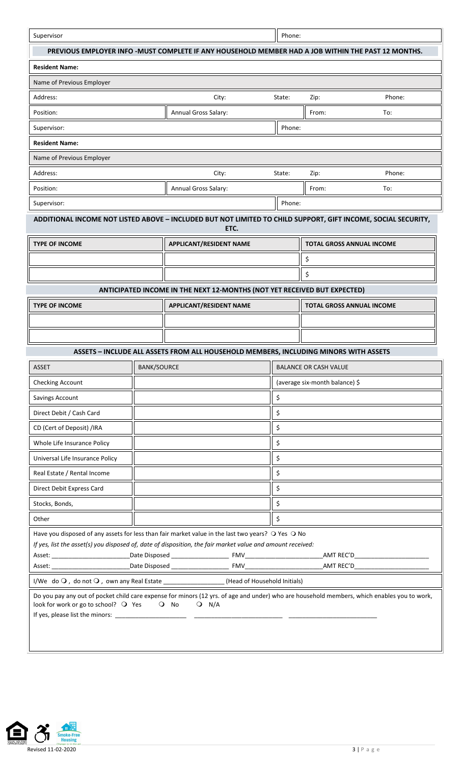| Supervisor                                                                                                                                                                                                      |             |                                                                                                     | Phone: |                                |                                  |
|-----------------------------------------------------------------------------------------------------------------------------------------------------------------------------------------------------------------|-------------|-----------------------------------------------------------------------------------------------------|--------|--------------------------------|----------------------------------|
|                                                                                                                                                                                                                 |             | PREVIOUS EMPLOYER INFO - MUST COMPLETE IF ANY HOUSEHOLD MEMBER HAD A JOB WITHIN THE PAST 12 MONTHS. |        |                                |                                  |
| <b>Resident Name:</b>                                                                                                                                                                                           |             |                                                                                                     |        |                                |                                  |
| Name of Previous Employer                                                                                                                                                                                       |             |                                                                                                     |        |                                |                                  |
| Address:                                                                                                                                                                                                        |             | City:                                                                                               | State: | Zip:                           | Phone:                           |
| Position:                                                                                                                                                                                                       |             | Annual Gross Salary:                                                                                |        | From:                          | To:                              |
| Supervisor:                                                                                                                                                                                                     |             |                                                                                                     | Phone: |                                |                                  |
| <b>Resident Name:</b>                                                                                                                                                                                           |             |                                                                                                     |        |                                |                                  |
| Name of Previous Employer                                                                                                                                                                                       |             |                                                                                                     |        |                                |                                  |
| Address:                                                                                                                                                                                                        |             | City:                                                                                               | State: | Zip:                           | Phone:                           |
| Position:                                                                                                                                                                                                       |             | Annual Gross Salary:                                                                                |        | From:                          | To:                              |
| Supervisor:                                                                                                                                                                                                     |             |                                                                                                     | Phone: |                                |                                  |
| ADDITIONAL INCOME NOT LISTED ABOVE - INCLUDED BUT NOT LIMITED TO CHILD SUPPORT, GIFT INCOME, SOCIAL SECURITY,                                                                                                   |             | ETC.                                                                                                |        |                                |                                  |
| <b>TYPE OF INCOME</b>                                                                                                                                                                                           |             | <b>APPLICANT/RESIDENT NAME</b>                                                                      |        |                                | <b>TOTAL GROSS ANNUAL INCOME</b> |
|                                                                                                                                                                                                                 |             |                                                                                                     |        | \$                             |                                  |
|                                                                                                                                                                                                                 |             |                                                                                                     |        | \$                             |                                  |
|                                                                                                                                                                                                                 |             | ANTICIPATED INCOME IN THE NEXT 12-MONTHS (NOT YET RECEIVED BUT EXPECTED)                            |        |                                |                                  |
| <b>TYPE OF INCOME</b>                                                                                                                                                                                           |             | <b>APPLICANT/RESIDENT NAME</b>                                                                      |        |                                | <b>TOTAL GROSS ANNUAL INCOME</b> |
|                                                                                                                                                                                                                 |             |                                                                                                     |        |                                |                                  |
|                                                                                                                                                                                                                 |             |                                                                                                     |        |                                |                                  |
|                                                                                                                                                                                                                 |             | ASSETS - INCLUDE ALL ASSETS FROM ALL HOUSEHOLD MEMBERS, INCLUDING MINORS WITH ASSETS                |        |                                |                                  |
| <b>ASSET</b>                                                                                                                                                                                                    | BANK/SOURCE |                                                                                                     |        | <b>BALANCE OR CASH VALUE</b>   |                                  |
| Checking Account                                                                                                                                                                                                |             |                                                                                                     |        | (average six-month balance) \$ |                                  |
| Savings Account                                                                                                                                                                                                 |             |                                                                                                     | \$     |                                |                                  |
| Direct Debit / Cash Card                                                                                                                                                                                        |             |                                                                                                     | \$     |                                |                                  |
| CD (Cert of Deposit) /IRA                                                                                                                                                                                       |             |                                                                                                     | \$     |                                |                                  |
| Whole Life Insurance Policy                                                                                                                                                                                     |             |                                                                                                     | \$     |                                |                                  |
| Universal Life Insurance Policy                                                                                                                                                                                 |             |                                                                                                     | \$     |                                |                                  |
| Real Estate / Rental Income                                                                                                                                                                                     |             |                                                                                                     | \$     |                                |                                  |
| Direct Debit Express Card                                                                                                                                                                                       |             |                                                                                                     | \$     |                                |                                  |
| Stocks, Bonds,                                                                                                                                                                                                  |             |                                                                                                     | \$     |                                |                                  |
| Other                                                                                                                                                                                                           |             |                                                                                                     | \$     |                                |                                  |
| Have you disposed of any assets for less than fair market value in the last two years? O Yes O No<br>If yes, list the asset(s) you disposed of, date of disposition, the fair market value and amount received: |             |                                                                                                     |        |                                |                                  |
|                                                                                                                                                                                                                 |             |                                                                                                     |        |                                |                                  |
| I/We do O, do not O, own any Real Estate ________________(Head of Household Initials)                                                                                                                           |             |                                                                                                     |        |                                |                                  |
| Do you pay any out of pocket child care expense for minors (12 yrs. of age and under) who are household members, which enables you to work,<br>look for work or go to school? O Yes                             |             | $Q$ No<br>$Q$ N/A                                                                                   |        |                                |                                  |

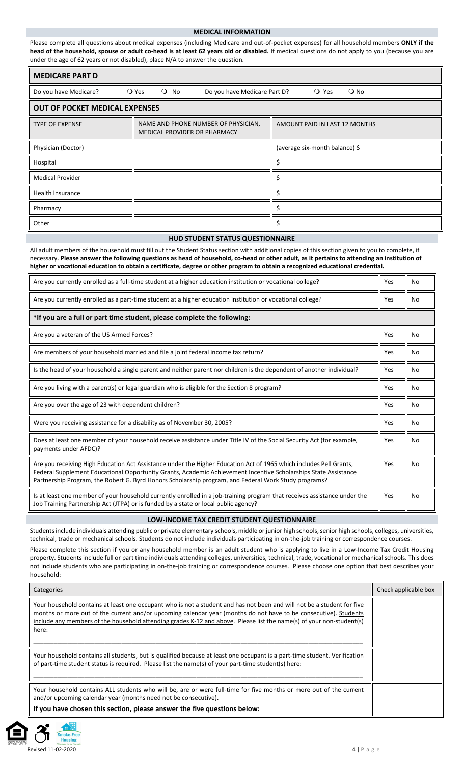#### **MEDICAL INFORMATION**

Please complete all questions about medical expenses (including Medicare and out-of-pocket expenses) for all household members **ONLY if the head of the household, spouse or adult co-head is at least 62 years old or disabled.** If medical questions do not apply to you (because you are under the age of 62 years or not disabled), place N/A to answer the question.

| <b>MEDICARE PART D</b>                |                                                                     |                                 |  |  |  |  |  |
|---------------------------------------|---------------------------------------------------------------------|---------------------------------|--|--|--|--|--|
| Do you have Medicare?                 | $Q$ Yes<br>$Q$ No<br>Do you have Medicare Part D?                   | $\bigcirc$ Yes<br>$\bigcirc$ No |  |  |  |  |  |
| <b>OUT OF POCKET MEDICAL EXPENSES</b> |                                                                     |                                 |  |  |  |  |  |
| <b>TYPE OF EXPENSE</b>                | NAME AND PHONE NUMBER OF PHYSICIAN,<br>MEDICAL PROVIDER OR PHARMACY | AMOUNT PAID IN LAST 12 MONTHS   |  |  |  |  |  |
| Physician (Doctor)                    |                                                                     | (average six-month balance) \$  |  |  |  |  |  |
| Hospital                              |                                                                     |                                 |  |  |  |  |  |
| <b>Medical Provider</b>               |                                                                     |                                 |  |  |  |  |  |
| Health Insurance                      |                                                                     |                                 |  |  |  |  |  |
| Pharmacy                              |                                                                     |                                 |  |  |  |  |  |
| Other                                 |                                                                     |                                 |  |  |  |  |  |

#### **HUD STUDENT STATUS QUESTIONNAIRE**

All adult members of the household must fill out the Student Status section with additional copies of this section given to you to complete, if necessary. **Please answer the following questions as head of household, co-head or other adult, as it pertains to attending an institution of higher or vocational education to obtain a certificate, degree or other program to obtain a recognized educational credential.**

| Are you currently enrolled as a full-time student at a higher education institution or vocational college?                                                                                                                                                                                                                                    | Yes | No        |
|-----------------------------------------------------------------------------------------------------------------------------------------------------------------------------------------------------------------------------------------------------------------------------------------------------------------------------------------------|-----|-----------|
| Are you currently enrolled as a part-time student at a higher education institution or vocational college?                                                                                                                                                                                                                                    | Yes | <b>No</b> |
| *If you are a full or part time student, please complete the following:                                                                                                                                                                                                                                                                       |     |           |
| Are you a veteran of the US Armed Forces?                                                                                                                                                                                                                                                                                                     | Yes | No        |
| Are members of your household married and file a joint federal income tax return?                                                                                                                                                                                                                                                             | Yes | No        |
| Is the head of your household a single parent and neither parent nor children is the dependent of another individual?                                                                                                                                                                                                                         | Yes | No        |
| Are you living with a parent(s) or legal guardian who is eligible for the Section 8 program?                                                                                                                                                                                                                                                  | Yes | No        |
| Are you over the age of 23 with dependent children?                                                                                                                                                                                                                                                                                           | Yes | No        |
| Were you receiving assistance for a disability as of November 30, 2005?                                                                                                                                                                                                                                                                       | Yes | No        |
| Does at least one member of your household receive assistance under Title IV of the Social Security Act (for example,<br>payments under AFDC)?                                                                                                                                                                                                | Yes | No        |
| Are you receiving High Education Act Assistance under the Higher Education Act of 1965 which includes Pell Grants,<br>Federal Supplement Educational Opportunity Grants, Academic Achievement Incentive Scholarships State Assistance<br>Partnership Program, the Robert G. Byrd Honors Scholarship program, and Federal Work Study programs? | Yes | No        |
| Is at least one member of your household currently enrolled in a job-training program that receives assistance under the<br>Job Training Partnership Act (JTPA) or is funded by a state or local public agency?                                                                                                                               | Yes | No        |

#### **LOW-INCOME TAX CREDIT STUDENT QUESTIONNAIRE**

Students include individuals attending public or private elementary schools, middle or junior high schools, senior high schools, colleges, universities, technical, trade or mechanical schools. Students do not include individuals participating in on-the-job training or correspondence courses

Please complete this section if you or any household member is an adult student who is applying to live in a Low-Income Tax Credit Housing property. Students include full or part time individuals attending colleges, universities, technical, trade, vocational or mechanical schools. This does not include students who are participating in on-the-job training or correspondence courses. Please choose one option that best describes your household:

| Categories                                                                                                                                                                                                                                                                                                                                                                  | Check applicable box |
|-----------------------------------------------------------------------------------------------------------------------------------------------------------------------------------------------------------------------------------------------------------------------------------------------------------------------------------------------------------------------------|----------------------|
| Your household contains at least one occupant who is not a student and has not been and will not be a student for five<br>months or more out of the current and/or upcoming calendar year (months do not have to be consecutive). Students<br>include any members of the household attending grades K-12 and above. Please list the name(s) of your non-student(s)<br>here: |                      |
| Your household contains all students, but is qualified because at least one occupant is a part-time student. Verification<br>of part-time student status is required. Please list the name(s) of your part-time student(s) here:                                                                                                                                            |                      |
| Your household contains ALL students who will be, are or were full-time for five months or more out of the current<br>and/or upcoming calendar year (months need not be consecutive).<br>If you have chosen this section, please answer the five questions below:                                                                                                           |                      |



ke-Free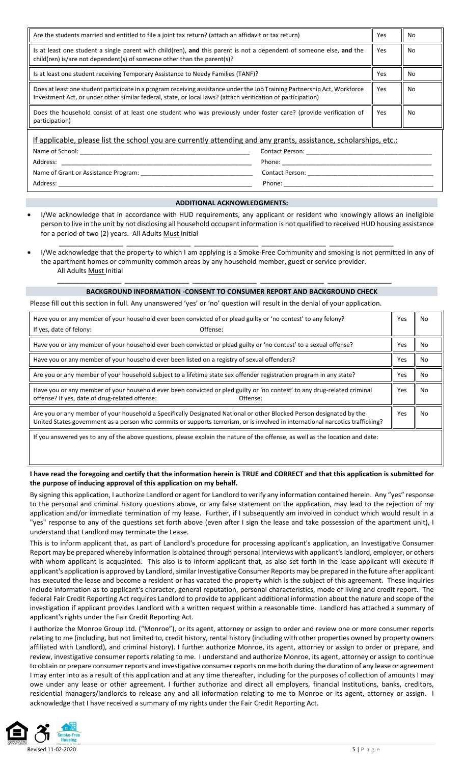| Are the students married and entitled to file a joint tax return? (attach an affidavit or tax return)                                                                                                                                     | Yes        | No  |  |  |  |
|-------------------------------------------------------------------------------------------------------------------------------------------------------------------------------------------------------------------------------------------|------------|-----|--|--|--|
| Is at least one student a single parent with child(ren), and this parent is not a dependent of someone else, and the<br>child(ren) is/are not dependent(s) of someone other than the parent(s)?                                           | Yes        | No. |  |  |  |
| Is at least one student receiving Temporary Assistance to Needy Families (TANF)?                                                                                                                                                          | <b>Yes</b> | No  |  |  |  |
| Does at least one student participate in a program receiving assistance under the Job Training Partnership Act, Workforce<br>Investment Act, or under other similar federal, state, or local laws? (attach verification of participation) | Yes        | No. |  |  |  |
| Does the household consist of at least one student who was previously under foster care? (provide verification of<br>participation)                                                                                                       | Yes        | No. |  |  |  |
| If applicable, please list the school you are currently attending and any grants, assistance, scholarships, etc.:                                                                                                                         |            |     |  |  |  |
| Name of School:<br>Contact Person:                                                                                                                                                                                                        |            |     |  |  |  |
| Address:                                                                                                                                                                                                                                  |            |     |  |  |  |
| Name of Grant or Assistance Program:                                                                                                                                                                                                      |            |     |  |  |  |

# **ADDITIONAL ACKNOWLEDGMENTS:**

Address: \_\_\_\_\_\_\_\_\_\_\_\_\_\_\_\_\_\_\_\_\_\_\_\_\_\_\_\_\_\_\_\_\_\_\_\_\_\_\_\_\_\_\_\_\_\_\_\_\_\_\_\_\_\_\_\_\_ Phone: \_\_\_\_\_\_\_\_\_\_\_\_\_\_\_\_\_\_\_\_\_\_\_\_\_\_\_\_\_\_\_\_\_\_\_\_\_\_\_\_\_\_\_\_

- I/We acknowledge that in accordance with HUD requirements, any applicant or resident who knowingly allows an ineligible person to live in the unit by not disclosing all household occupant information is not qualified to received HUD housing assistance for a period of two (2) years. All Adults Must Initial
- I/We acknowledge that the property to which I am applying is a Smoke-Free Community and smoking is not permitted in any of the apartment homes or community common areas by any household member, guest or service provider. All Adults Must Initial

\_\_\_\_\_\_\_\_\_\_\_\_\_\_\_\_\_ \_\_\_\_\_\_\_\_\_\_\_\_\_\_\_\_\_ \_\_\_\_\_\_\_\_\_\_\_\_\_\_\_\_\_ \_\_\_\_\_\_\_\_\_\_\_\_\_\_\_\_\_ \_\_\_\_\_\_\_\_\_\_\_\_\_\_\_\_\_

#### **BACKGROUND INFORMATION -CONSENT TO CONSUMER REPORT AND BACKGROUND CHECK**

\_\_\_\_\_\_\_\_\_\_\_\_\_\_\_\_\_ \_\_\_\_\_\_\_\_\_\_\_\_\_\_\_\_\_ \_\_\_\_\_\_\_\_\_\_\_\_\_\_\_\_\_ \_\_\_\_\_\_\_\_\_\_\_\_\_\_\_\_\_ \_\_\_\_\_\_\_\_\_\_\_\_\_\_\_\_\_

Please fill out this section in full. Any unanswered 'yes' or 'no' question will result in the denial of your application.

| Have you or any member of your household ever been convicted of or plead guilty or 'no contest' to any felony?<br>Offense:                                                                                                                             | Yes | No |
|--------------------------------------------------------------------------------------------------------------------------------------------------------------------------------------------------------------------------------------------------------|-----|----|
| If yes, date of felony:                                                                                                                                                                                                                                |     |    |
| Have you or any member of your household ever been convicted or plead guilty or 'no contest' to a sexual offense?                                                                                                                                      | Yes | No |
| Have you or any member of your household ever been listed on a registry of sexual offenders?                                                                                                                                                           | Yes | No |
| Are you or any member of your household subject to a lifetime state sex offender registration program in any state?                                                                                                                                    | Yes | No |
| Have you or any member of your household ever been convicted or pled guilty or 'no contest' to any drug-related criminal<br>offense? If yes, date of drug-related offense:<br>Offense:                                                                 | Yes | No |
| Are you or any member of your household a Specifically Designated National or other Blocked Person designated by the<br>United States government as a person who commits or supports terrorism, or is involved in international narcotics trafficking? | Yes | No |
| If you answered yes to any of the above questions, please explain the nature of the offense, as well as the location and date:                                                                                                                         |     |    |

### **I have read the foregoing and certify that the information herein is TRUE and CORRECT and that this application is submitted for the purpose of inducing approval of this application on my behalf.**

By signing this application, I authorize Landlord or agent for Landlord to verify any information contained herein. Any "yes" response to the personal and criminal history questions above, or any false statement on the application, may lead to the rejection of my application and/or immediate termination of my lease. Further, if I subsequently am involved in conduct which would result in a "yes" response to any of the questions set forth above (even after I sign the lease and take possession of the apartment unit), I understand that Landlord may terminate the Lease.

This is to inform applicant that, as part of Landlord's procedure for processing applicant's application, an Investigative Consumer Report may be prepared whereby information is obtained through personal interviews with applicant's landlord, employer, or others with whom applicant is acquainted. This also is to inform applicant that, as also set forth in the lease applicant will execute if applicant's application is approved by Landlord, similar Investigative Consumer Reports may be prepared in the future after applicant has executed the lease and become a resident or has vacated the property which is the subject of this agreement. These inquiries include information as to applicant's character, general reputation, personal characteristics, mode of living and credit report. The federal Fair Credit Reporting Act requires Landlord to provide to applicant additional information about the nature and scope of the investigation if applicant provides Landlord with a written request within a reasonable time. Landlord has attached a summary of applicant's rights under the Fair Credit Reporting Act.

I authorize the Monroe Group Ltd. ("Monroe"), or its agent, attorney or assign to order and review one or more consumer reports relating to me (including, but not limited to, credit history, rental history (including with other properties owned by property owners affiliated with Landlord), and criminal history). I further authorize Monroe, its agent, attorney or assign to order or prepare, and review, investigative consumer reports relating to me. I understand and authorize Monroe, its agent, attorney or assign to continue to obtain or prepare consumer reports and investigative consumer reports on me both during the duration of any lease or agreement I may enter into as a result of this application and at any time thereafter, including for the purposes of collection of amounts I may owe under any lease or other agreement. I further authorize and direct all employers, financial institutions, banks, creditors, residential managers/landlords to release any and all information relating to me to Monroe or its agent, attorney or assign. I acknowledge that I have received a summary of my rights under the Fair Credit Reporting Act.

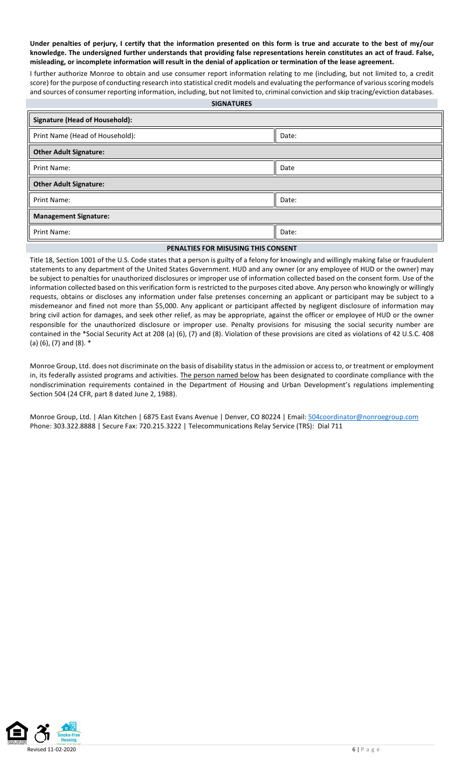**Under penalties of perjury, I certify that the information presented on this form is true and accurate to the best of my/our knowledge. The undersigned further understands that providing false representations herein constitutes an act of fraud. False, misleading, or incomplete information will result in the denial of application or termination of the lease agreement.**

I further authorize Monroe to obtain and use consumer report information relating to me (including, but not limited to, a credit score) for the purpose of conducting research into statistical credit models and evaluating the performance of various scoring models and sources of consumer reporting information, including, but not limited to, criminal conviction and skip tracing/eviction databases.

| <b>SIGNATURES</b> |
|-------------------|
|-------------------|

| <b>Signature (Head of Household):</b> |       |
|---------------------------------------|-------|
| Print Name (Head of Household):       | Date: |
| <b>Other Adult Signature:</b>         |       |
| <b>Print Name:</b>                    | Date  |
| <b>Other Adult Signature:</b>         |       |
| <b>Print Name:</b>                    | Date: |
| <b>Management Signature:</b>          |       |
| <b>Print Name:</b>                    | Date: |

## **PENALTIES FOR MISUSING THIS CONSENT**

Title 18, Section 1001 of the U.S. Code states that a person is guilty of a felony for knowingly and willingly making false or fraudulent statements to any department of the United States Government. HUD and any owner (or any employee of HUD or the owner) may be subject to penalties for unauthorized disclosures or improper use of information collected based on the consent form. Use of the information collected based on this verification form is restricted to the purposes cited above. Any person who knowingly or willingly requests, obtains or discloses any information under false pretenses concerning an applicant or participant may be subject to a misdemeanor and fined not more than \$5,000. Any applicant or participant affected by negligent disclosure of information may bring civil action for damages, and seek other relief, as may be appropriate, against the officer or employee of HUD or the owner responsible for the unauthorized disclosure or improper use. Penalty provisions for misusing the social security number are contained in the \*Social Security Act at 208 (a) (6), (7) and (8). Violation of these provisions are cited as violations of 42 U.S.C. 408 (a) (6), (7) and (8). \*

Monroe Group, Ltd. does not discriminate on the basis of disability status in the admission or access to, or treatment or employment in, its federally assisted programs and activities. The person named below has been designated to coordinate compliance with the nondiscrimination requirements contained in the Department of Housing and Urban Development's regulations implementing Section 504 (24 CFR, part 8 dated June 2, 1988).

Monroe Group, Ltd. | Alan Kitchen | 6875 East Evans Avenue | Denver, CO 80224 | Email[: 504coordinator@nonroegroup.com](mailto:504coordinator@nonroegroup.com) Phone: 303.322.8888 | Secure Fax: 720.215.3222 | Telecommunications Relay Service (TRS): Dial 711

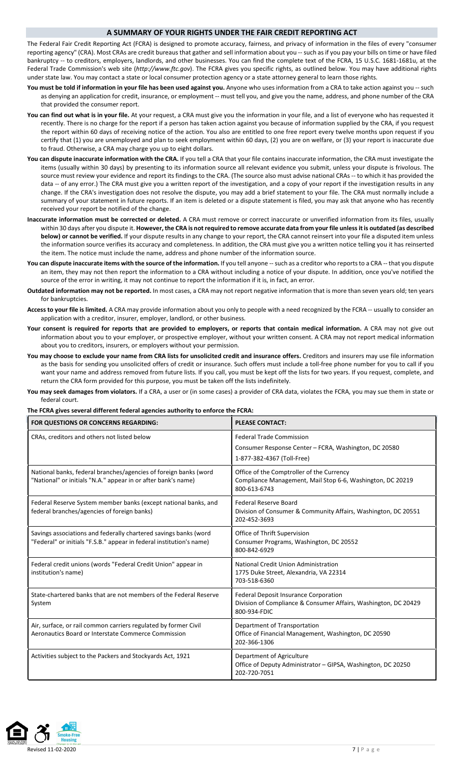### **A SUMMARY OF YOUR RIGHTS UNDER THE FAIR CREDIT REPORTING ACT**

The Federal Fair Credit Reporting Act (FCRA) is designed to promote accuracy, fairness, and privacy of information in the files of every "consumer reporting agency" (CRA). Most CRAs are credit bureaus that gather and sell information about you -- such as if you pay your bills on time or have filed bankruptcy -- to creditors, employers, landlords, and other businesses. You can find the complete text of the FCRA, 15 U.S.C. 1681-1681u, at the Federal Trade Commission's web site (*http://www.ftc.gov*). The FCRA gives you specific rights, as outlined below. You may have additional rights under state law. You may contact a state or local consumer protection agency or a state attorney general to learn those rights.

- **You must be told if information in your file has been used against you.** Anyone who uses information from a CRA to take action against you -- such as denying an application for credit, insurance, or employment -- must tell you, and give you the name, address, and phone number of the CRA that provided the consumer report.
- **You can find out what is in your file.** At your request, a CRA must give you the information in your file, and a list of everyone who has requested it recently. There is no charge for the report if a person has taken action against you because of information supplied by the CRA, if you request the report within 60 days of receiving notice of the action. You also are entitled to one free report every twelve months upon request if you certify that (1) you are unemployed and plan to seek employment within 60 days, (2) you are on welfare, or (3) your report is inaccurate due to fraud. Otherwise, a CRA may charge you up to eight dollars.
- **You can dispute inaccurate information with the CRA.** If you tell a CRA that your file contains inaccurate information, the CRA must investigate the items (usually within 30 days) by presenting to its information source all relevant evidence you submit, unless your dispute is frivolous. The source must review your evidence and report its findings to the CRA. (The source also must advise national CRAs -- to which it has provided the data -- of any error.) The CRA must give you a written report of the investigation, and a copy of your report if the investigation results in any change. If the CRA's investigation does not resolve the dispute, you may add a brief statement to your file. The CRA must normally include a summary of your statement in future reports. If an item is deleted or a dispute statement is filed, you may ask that anyone who has recently received your report be notified of the change.
- **Inaccurate information must be corrected or deleted.** A CRA must remove or correct inaccurate or unverified information from its files, usually within 30 days after you dispute it. **However, the CRA is not required to remove accurate data from your file unless it is outdated (as described below) or cannot be verified.** If your dispute results in any change to your report, the CRA cannot reinsert into your file a disputed item unless the information source verifies its accuracy and completeness. In addition, the CRA must give you a written notice telling you it has reinserted the item. The notice must include the name, address and phone number of the information source.
- **You can dispute inaccurate items with the source of the information.** If you tell anyone -- such as a creditor who reports to a CRA -- that you dispute an item, they may not then report the information to a CRA without including a notice of your dispute. In addition, once you've notified the source of the error in writing, it may not continue to report the information if it is, in fact, an error.
- **Outdated information may not be reported.** In most cases, a CRA may not report negative information that is more than seven years old; ten years for bankruptcies.
- **Access to your file is limited.** A CRA may provide information about you only to people with a need recognized by the FCRA -- usually to consider an application with a creditor, insurer, employer, landlord, or other business.
- **Your consent is required for reports that are provided to employers, or reports that contain medical information.** A CRA may not give out information about you to your employer, or prospective employer, without your written consent. A CRA may not report medical information about you to creditors, insurers, or employers without your permission.
- **You may choose to exclude your name from CRA lists for unsolicited credit and insurance offers.** Creditors and insurers may use file information as the basis for sending you unsolicited offers of credit or insurance. Such offers must include a toll-free phone number for you to call if you want your name and address removed from future lists. If you call, you must be kept off the lists for two years. If you request, complete, and return the CRA form provided for this purpose, you must be taken off the lists indefinitely.
- **You may seek damages from violators.** If a CRA, a user or (in some cases) a provider of CRA data, violates the FCRA, you may sue them in state or federal court.

|  | The FCRA gives several different federal agencies authority to enforce the FCRA: |  |  |
|--|----------------------------------------------------------------------------------|--|--|
|  |                                                                                  |  |  |

| FOR QUESTIONS OR CONCERNS REGARDING:                                                                                                     | <b>PLEASE CONTACT:</b>                                                                                                   |  |
|------------------------------------------------------------------------------------------------------------------------------------------|--------------------------------------------------------------------------------------------------------------------------|--|
| CRAs, creditors and others not listed below                                                                                              | <b>Federal Trade Commission</b><br>Consumer Response Center - FCRA, Washington, DC 20580<br>1-877-382-4367 (Toll-Free)   |  |
| National banks, federal branches/agencies of foreign banks (word<br>"National" or initials "N.A." appear in or after bank's name)        | Office of the Comptroller of the Currency<br>Compliance Management, Mail Stop 6-6, Washington, DC 20219<br>800-613-6743  |  |
| Federal Reserve System member banks (except national banks, and<br>federal branches/agencies of foreign banks)                           | <b>Federal Reserve Board</b><br>Division of Consumer & Community Affairs, Washington, DC 20551<br>202-452-3693           |  |
| Savings associations and federally chartered savings banks (word<br>"Federal" or initials "F.S.B." appear in federal institution's name) | Office of Thrift Supervision<br>Consumer Programs, Washington, DC 20552<br>800-842-6929                                  |  |
| Federal credit unions (words "Federal Credit Union" appear in<br>institution's name)                                                     | National Credit Union Administration<br>1775 Duke Street, Alexandria, VA 22314<br>703-518-6360                           |  |
| State-chartered banks that are not members of the Federal Reserve<br>System                                                              | Federal Deposit Insurance Corporation<br>Division of Compliance & Consumer Affairs, Washington, DC 20429<br>800-934-FDIC |  |
| Air, surface, or rail common carriers regulated by former Civil<br>Aeronautics Board or Interstate Commerce Commission                   | Department of Transportation<br>Office of Financial Management, Washington, DC 20590<br>202-366-1306                     |  |
| Activities subject to the Packers and Stockyards Act, 1921                                                                               | Department of Agriculture<br>Office of Deputy Administrator - GIPSA, Washington, DC 20250<br>202-720-7051                |  |